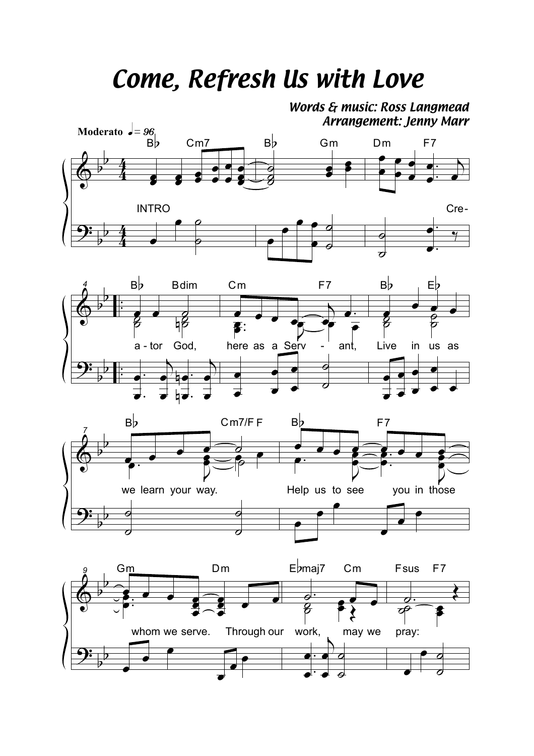## *Come, Refresh Us with Love*

*Words & music: Ross Langmead Arrangement: Jenny Marr*



œ

œ œ

.

œ

 $\overline{\phantom{a}}$ 

œ

 $\frac{1}{\sigma}$ 

œ